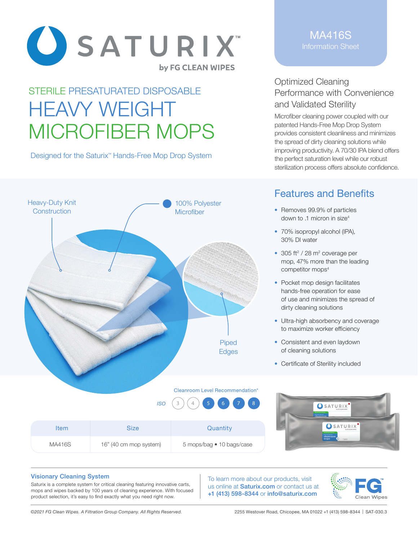

# STERILE PRESATURATED DISPOSABLE HEAVY WEIGHT MICROFIBER MOPS

Designed for the Saturix<sup>™</sup> Hands-Free Mop Drop System



### MA416S Information Sheet

## Optimized Cleaning Performance with Convenience and Validated Sterility

Microfiber cleaning power coupled with our patented Hands-Free Mop Drop System provides consistent cleanliness and minimizes the spread of dirty cleaning solutions while improving productivity. A 70/30 IPA blend offers the perfect saturation level while our robust sterilization process offers absolute confidence.

# Features and Benefits

- Removes 99.9% of particles down to .1 micron in size4
- 70% isopropyl alcohol (IPA), 30% DI water
- $\cdot$  305 ft<sup>2</sup> / 28 m<sup>2</sup> coverage per mop, 47% more than the leading competitor mops<sup>4</sup>
- Pocket mop design facilitates hands-free operation for ease of use and minimizes the spread of dirty cleaning solutions
- Ultra-high absorbency and coverage to maximize worker efficiency
- Consistent and even laydown of cleaning solutions
- Certificate of Sterility included

|             |                        | <u> La Carlo de la Carlo de la Carlo de la Carlo de la Carlo de la Carlo de la Carlo de la Carlo de la Carlo de l</u> | UJAIURIA<br>by FG CLEAN WIPES<br><b><i>VALIDATED STERRILE</i></b><br>PRESSIGNEED<br>cleanroom |
|-------------|------------------------|-----------------------------------------------------------------------------------------------------------------------|-----------------------------------------------------------------------------------------------|
| <b>Item</b> | Size                   | Quantity                                                                                                              | OSATURIX<br><b>VALIDATED STERRE</b><br>PRESSURATED<br>cleanroom<br>mops<br>of presidents.     |
| MA416S      | 16" (40 cm mop system) | 5 mops/bag • 10 bags/case                                                                                             |                                                                                               |

 $I$ *SO*  $\begin{pmatrix} 3 \end{pmatrix}$   $\begin{pmatrix} 4 \end{pmatrix}$   $\begin{pmatrix} 5 \end{pmatrix}$   $\begin{pmatrix} 6 \end{pmatrix}$   $\begin{pmatrix} 7 \end{pmatrix}$   $\begin{pmatrix} 8 \end{pmatrix}$ 

### Visionary Cleaning System

Saturix is a complete system for critical cleaning featuring innovative carts, mops and wipes backed by 100 years of cleaning experience. With focused product selection, it's easy to find exactly what you need right now.

To learn more about our products, visit us online at **Saturix.com** or contact us at +1 (413) 598-8344 or info@saturix.com



*©2021 FG Clean Wipes. A Filtration Group Company. All Rights Reserved.* 2255 Westover Road, Chicopee, MA 01022 +1 (413) 598-8344 | SAT-030.3